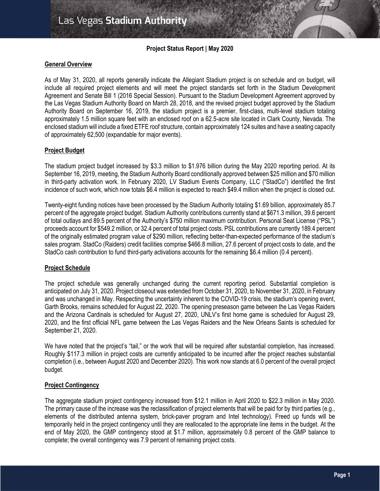# **Project Status Report | May 2020**

# **General Overview**

As of May 31, 2020, all reports generally indicate the Allegiant Stadium project is on schedule and on budget, will include all required project elements and will meet the project standards set forth in the Stadium Development Agreement and Senate Bill 1 (2016 Special Session). Pursuant to the Stadium Development Agreement approved by the Las Vegas Stadium Authority Board on March 28, 2018, and the revised project budget approved by the Stadium Authority Board on September 16, 2019, the stadium project is a premier, first-class, multi-level stadium totaling approximately 1.5 million square feet with an enclosed roof on a 62.5-acre site located in Clark County, Nevada. The enclosed stadium will include a fixed ETFE roof structure, contain approximately 124 suites and have a seating capacity of approximately 62,500 (expandable for major events).

# **Project Budget**

The stadium project budget increased by \$3.3 million to \$1.976 billion during the May 2020 reporting period. At its September 16, 2019, meeting, the Stadium Authority Board conditionally approved between \$25 million and \$70 million in third-party activation work. In February 2020, LV Stadium Events Company, LLC ("StadCo") identified the first incidence of such work, which now totals \$6.4 million is expected to reach \$49.4 million when the project is closed out.

Twenty-eight funding notices have been processed by the Stadium Authority totaling \$1.69 billion, approximately 85.7 percent of the aggregate project budget. Stadium Authority contributions currently stand at \$671.3 million, 39.6 percent of total outlays and 89.5 percent of the Authority's \$750 million maximum contribution. Personal Seat License ("PSL") proceeds account for \$549.2 million, or 32.4 percent of total project costs. PSL contributions are currently 189.4 percent of the originally estimated program value of \$290 million, reflecting better-than-expected performance of the stadium's sales program. StadCo (Raiders) credit facilities comprise \$466.8 million, 27.6 percent of project costs to date, and the StadCo cash contribution to fund third-party activations accounts for the remaining \$6.4 million (0.4 percent).

# **Project Schedule**

The project schedule was generally unchanged during the current reporting period. Substantial completion is anticipated on July 31, 2020. Project closeout was extended from October 31, 2020, to November 31, 2020, in February and was unchanged in May. Respecting the uncertainty inherent to the COVID-19 crisis, the stadium's opening event, Garth Brooks, remains scheduled for August 22, 2020. The opening preseason game between the Las Vegas Raiders and the Arizona Cardinals is scheduled for August 27, 2020, UNLV's first home game is scheduled for August 29, 2020, and the first official NFL game between the Las Vegas Raiders and the New Orleans Saints is scheduled for September 21, 2020.

We have noted that the project's "tail," or the work that will be required after substantial completion, has increased. Roughly \$117.3 million in project costs are currently anticipated to be incurred after the project reaches substantial completion (i.e., between August 2020 and December 2020). This work now stands at 6.0 percent of the overall project budget.

# **Project Contingency**

The aggregate stadium project contingency increased from \$12.1 million in April 2020 to \$22.3 million in May 2020. The primary cause of the increase was the reclassification of project elements that will be paid for by third parties (e.g., elements of the distributed antenna system, brick-paver program and Intel technology). Freed up funds will be temporarily held in the project contingency until they are reallocated to the appropriate line items in the budget. At the end of May 2020, the GMP contingency stood at \$1.7 million, approximately 0.8 percent of the GMP balance to complete; the overall contingency was 7.9 percent of remaining project costs.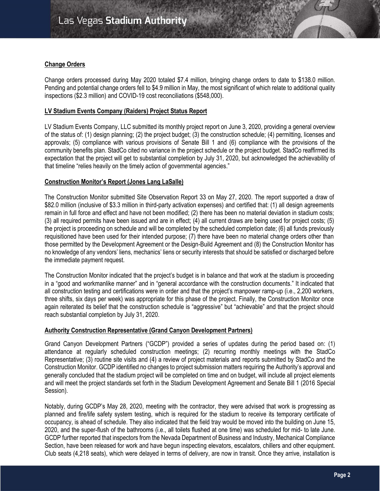# **Change Orders**

Change orders processed during May 2020 totaled \$7.4 million, bringing change orders to date to \$138.0 million. Pending and potential change orders fell to \$4.9 million in May, the most significant of which relate to additional quality inspections (\$2.3 million) and COVID-19 cost reconciliations (\$548,000).

# **LV Stadium Events Company (Raiders) Project Status Report**

LV Stadium Events Company, LLC submitted its monthly project report on June 3, 2020, providing a general overview of the status of: (1) design planning; (2) the project budget; (3) the construction schedule; (4) permitting, licenses and approvals; (5) compliance with various provisions of Senate Bill 1 and (6) compliance with the provisions of the community benefits plan. StadCo cited no variance in the project schedule or the project budget. StadCo reaffirmed its expectation that the project will get to substantial completion by July 31, 2020, but acknowledged the achievability of that timeline "relies heavily on the timely action of governmental agencies."

# **Construction Monitor's Report (Jones Lang LaSalle)**

The Construction Monitor submitted Site Observation Report 33 on May 27, 2020. The report supported a draw of \$82.0 million (inclusive of \$3.3 million in third-party activation expenses) and certified that: (1) all design agreements remain in full force and effect and have not been modified; (2) there has been no material deviation in stadium costs; (3) all required permits have been issued and are in effect; (4) all current draws are being used for project costs; (5) the project is proceeding on schedule and will be completed by the scheduled completion date; (6) all funds previously requisitioned have been used for their intended purpose; (7) there have been no material change orders other than those permitted by the Development Agreement or the Design-Build Agreement and (8) the Construction Monitor has no knowledge of any vendors' liens, mechanics' liens or security interests that should be satisfied or discharged before the immediate payment request.

The Construction Monitor indicated that the project's budget is in balance and that work at the stadium is proceeding in a "good and workmanlike manner" and in "general accordance with the construction documents." It indicated that all construction testing and certifications were in order and that the project's manpower ramp-up (i.e., 2,200 workers, three shifts, six days per week) was appropriate for this phase of the project. Finally, the Construction Monitor once again reiterated its belief that the construction schedule is "aggressive" but "achievable" and that the project should reach substantial completion by July 31, 2020.

# **Authority Construction Representative (Grand Canyon Development Partners)**

Grand Canyon Development Partners ("GCDP") provided a series of updates during the period based on: (1) attendance at regularly scheduled construction meetings; (2) recurring monthly meetings with the StadCo Representative; (3) routine site visits and (4) a review of project materials and reports submitted by StadCo and the Construction Monitor. GCDP identified no changes to project submission matters requiring the Authority's approval and generally concluded that the stadium project will be completed on time and on budget, will include all project elements and will meet the project standards set forth in the Stadium Development Agreement and Senate Bill 1 (2016 Special Session).

Notably, during GCDP's May 28, 2020, meeting with the contractor, they were advised that work is progressing as planned and fire/life safety system testing, which is required for the stadium to receive its temporary certificate of occupancy, is ahead of schedule. They also indicated that the field tray would be moved into the building on June 15, 2020, and the super-flush of the bathrooms (i.e., all toilets flushed at one time) was scheduled for mid- to late June. GCDP further reported that inspectors from the Nevada Department of Business and Industry, Mechanical Compliance Section, have been released for work and have begun inspecting elevators, escalators, chillers and other equipment. Club seats (4,218 seats), which were delayed in terms of delivery, are now in transit. Once they arrive, installation is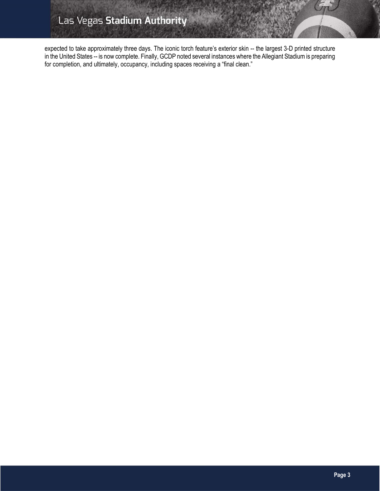expected to take approximately three days. The iconic torch feature's exterior skin -- the largest 3-D printed structure in the United States -- is now complete. Finally, GCDP noted several instances where the Allegiant Stadium is preparing for completion, and ultimately, occupancy, including spaces receiving a "final clean."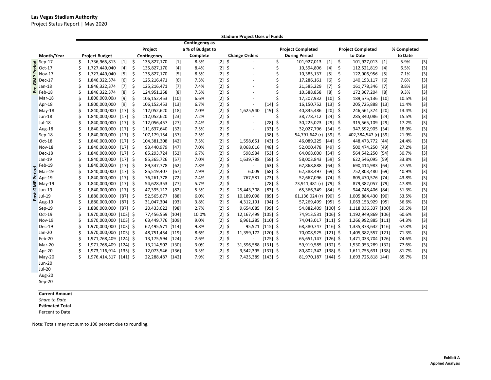Project Status Report | May 2020

|      |               | <b>Stadium Project Uses of Funds</b> |                        |           |         |                  |        |                  |          |    |                          |            |                          |                        |           |    |                          |       |             |       |
|------|---------------|--------------------------------------|------------------------|-----------|---------|------------------|--------|------------------|----------|----|--------------------------|------------|--------------------------|------------------------|-----------|----|--------------------------|-------|-------------|-------|
|      |               |                                      |                        |           |         |                  |        | Contingency as   |          |    |                          |            |                          |                        |           |    |                          |       |             |       |
|      |               |                                      |                        |           | Project |                  |        | a % of Budget to |          |    |                          |            | <b>Project Completed</b> |                        |           |    | <b>Project Completed</b> |       | % Completed |       |
|      | Month/Year    |                                      | <b>Project Budget</b>  |           |         | Contingency      |        | Complete         |          |    | <b>Change Orders</b>     |            |                          | <b>During Period</b>   |           |    | to Date                  |       | to Date     |       |
| Peri | $8$ Sep-17    | \$                                   | 1,736,965,813          | $[1]$     | \$      | 135,827,170      | $[1]$  | 8.3%             | $[2]$ \$ |    |                          |            | \$                       | 101,927,013            | $[1]$     | \$ | 101,927,013              | $[1]$ | 5.9%        | $[3]$ |
|      | $Oct-17$      |                                      | 1,727,449,040          | $[4]$     | \$      | 135,827,170      | $[4]$  | 8.4%             | $[2]$ \$ |    | $\sim$                   |            | \$                       | 10,594,806             | $[4]$     | \$ | 112,521,819              | [4]   | 6.5%        | $[3]$ |
|      | <b>Nov-17</b> |                                      | 1,727,449,040          | [5]       | \$      | 135,827,170      | [5]    | 8.5%             | $[2]$ \$ |    | ä,                       |            | Ś                        | 10,385,137             | $[5]$     | \$ | 122,906,956              | [5]   | 7.1%        | $[3]$ |
| Σ    | Dec-17        |                                      | 1,846,322,374          | [6]       | \$      | 125,216,471      | [6]    | 7.3%             | $[2]$ \$ |    | $\sim$                   |            | Ś                        | 17,286,161             | [6]       | \$ | 140,193,117              | [6]   | 7.6%        | $[3]$ |
|      | Jan-18        |                                      | 1,846,322,374          | $[7]$     | \$      | 125,216,471      | $[7]$  | 7.4%             | $[2]$ \$ |    | $\ddot{\phantom{1}}$     |            | Ś                        | 21,585,229             | $[7]$     | \$ | 161,778,346              | [7]   | 8.8%        | $[3]$ |
|      | $E$ Feb-18    |                                      | 1,846,322,374          | [8]       | \$      | 124,951,258      | [8]    | 7.5%             | $[2]$ \$ |    | $\ddot{\phantom{1}}$     |            | \$                       | 10,588,858             | [8]       | \$ | 172,367,204              | [8]   | 9.3%        | $[3]$ |
|      | Mar-18        |                                      | 1,800,000,000          | [9]       | \$      | 106,152,453      | $[10]$ | 6.6%             | $[2]$ \$ |    |                          |            | Ś                        | 17,207,932             | $[10]$ \$ |    | 189,575,136 [10]         |       | 10.5%       | $[3]$ |
|      | Apr-18        | Ś                                    | 1,800,000,000          | [9]       | -\$     | 106,152,453      | $[13]$ | 6.7%             | $[2]$ \$ |    |                          | $[14]$ \$  |                          | 16,150,752             | $[13]$ \$ |    | 205,725,888 [13]         |       | 11.4%       | $[3]$ |
|      | $May-18$      |                                      | 1,840,000,000          | $[17]$ \$ |         | 112,052,620      | [18]   | 7.0%             | $[2]$ \$ |    | 1,625,940                | [19]       | \$                       | 40,835,486             | $[20]$ \$ |    | 246,561,374 [20]         |       | 13.4%       | $[3]$ |
|      | $Jun-18$      |                                      | 1,840,000,000          | $[17]$ \$ |         | 112,052,620      | $[23]$ | 7.2%             | $[2]$ \$ |    |                          |            | Ś                        | 38,778,712             | $[24]$ \$ |    | 285,340,086 [24]         |       | 15.5%       | $[3]$ |
|      | $Jul-18$      |                                      | 1,840,000,000          | $[17]$ \$ |         | 112,056,457      | $[27]$ | 7.4%             | $[2]$ \$ |    | $\sim$                   | $[28]$ \$  |                          | 30,225,023             | $[29]$ \$ |    | 315,565,109 [29]         |       | 17.2%       | $[3]$ |
| 흗    | Aug-18        |                                      | 1,840,000,000          | $[17]$ \$ |         | 111,637,640      | $[32]$ | 7.5%             | $[2]$ \$ |    | $\overline{\phantom{a}}$ | $[33]$ \$  |                          | 32,027,796             | $[34]$ \$ |    | 347,592,905 [34]         |       | 18.9%       | $[3]$ |
|      | Sep-18        |                                      | 1,840,000,000          | $[17]$ \$ |         | 107,179,154      | $[37]$ | 7.5%             | $[2]$ \$ |    |                          | $[38]$ \$  |                          | 54,791,642 (r)         | $[39]$ \$ |    | 402,384,547 (r) [39]     |       | 21.9%       | $[3]$ |
|      | Oct-18        |                                      | 1,840,000,000          | $[17]$ \$ |         | 104,381,308      | $[42]$ | 7.5%             | $[2]$ \$ |    | 1,558,651                | $[43]$ \$  |                          | 46,089,225             | $[44]$ \$ |    | 448,473,772 [44]         |       | 24.4%       | $[3]$ |
|      | <b>Nov-18</b> |                                      | 1,840,000,000 [17] \$  |           |         | 93,440,979       | $[47]$ | 7.0%             | $[2]$ \$ |    | 9,068,016                | $[48]$ \$  |                          | 52,000,478             | $[49]$ \$ |    | 500,474,250 [49]         |       | 27.2%       | $[3]$ |
|      | Dec-18        |                                      | 1,840,000,000          | $[17]$ \$ |         | 85,293,724       | $[52]$ | 6.7%             | $[2]$ \$ |    | 598,984                  | $[53]$ \$  |                          | 64,068,000             | $[54]$ \$ |    | 564,542,250 [54]         |       | 30.7%       | $[3]$ |
|      | Jan-19        |                                      | 1,840,000,000          | $[17]$ \$ |         | 85,365,726       | $[57]$ | 7.0%             | $[2]$ \$ |    | 1,639,788                | $[58]$ \$  |                          | 58,003,843             | $[59]$ \$ |    | 622,546,095 [59]         |       | 33.8%       | $[3]$ |
|      | Feb-19        |                                      | 1,840,000,000          | $[17]$ \$ |         | 89,347,778       | [62]   | 7.8%             | $[2]$ \$ |    |                          | $[63]$ \$  |                          | 67,868,888             | $[64]$ \$ |    | 690,414,983 [64]         |       | 37.5%       | $[3]$ |
|      | Mar-19        |                                      | 1,840,000,000          | $[17]$ \$ |         | 85,519,407       | [67]   | 7.9%             | $[2]$ \$ |    | 6,009                    | $[68]$ \$  |                          | 62,388,497             | $[69]$ \$ |    | 752,803,480 [69]         |       | 40.9%       | $[3]$ |
|      | $2$ Apr-19    |                                      | 1,840,000,000 [17] \$  |           |         | 76,261,778       | $[72]$ | 7.4%             | $[2]$ \$ |    | 767,581                  | $[73]$ \$  |                          | 52,667,096             | $[74]$ \$ |    | 805,470,576 [74]         |       | 43.8%       | $[3]$ |
| ξ    | $May-19$      |                                      | 1,840,000,000          | $[17]$ \$ |         | 54,628,353       | $[77]$ | 5.7%             | $[2]$ \$ |    |                          | $[78]$ \$  |                          | 73,911,481 (r) [79] \$ |           |    | 879,382,057 [79]         |       | 47.8%       | $[3]$ |
| ق    | <b>Jun-19</b> |                                      | 1,840,000,000          | $[17]$ \$ |         | 47,395,112       | $[82]$ | 5.3%             | $[2]$ \$ |    | 25,443,308               | $[83]$ \$  |                          | 65,366,349             | $[84]$ \$ |    | 944,748,406 [84]         |       | 51.3%       | $[3]$ |
| នី   | Jul-19        |                                      | 1,880,000,000          | $[87]$ \$ |         | 52,565,677       | $[88]$ | 6.0%             | $[2]$    | \$ | 10,189,098               | $[89]$ \$  |                          | 61,136,024 (r)         | $[90]$ \$ |    | 1,005,884,430            | [90]  | 53.5%       | $[3]$ |
|      | Aug-19        | Ś                                    | 1,880,000,000          | $[87]$ \$ |         | 31,047,304       | $[93]$ | 3.8%             | $[2]$ \$ |    | 4,312,191                | $[94]$ \$  |                          | 57,269,499             | $[95]$ \$ |    | 1,063,153,929 [95]       |       | 56.6%       | $[3]$ |
|      | $Sep-19$      |                                      | 1,880,000,000          | [87] \$   |         | 20,433,622       | $[98]$ | 2.7%             | $[2]$ \$ |    | 9,654,085                | $[99]$ \$  |                          | 54,882,409 [100] \$    |           |    | 1,118,036,337 [100]      |       | 59.5%       | $[3]$ |
|      | Oct-19        |                                      | 1,970,000,000 [103] \$ |           |         | 77,456,569 [104] |        | 10.0%            | $[2]$ \$ |    | 12,167,499 [105] \$      |            |                          | 74,913,531 [106] \$    |           |    | 1,192,949,869 [106]      |       | 60.6%       | $[3]$ |
|      | Nov-19        |                                      | 1,970,000,000 [103] \$ |           |         | 63,449,776 [109] |        | 9.0%             | $[2]$ \$ |    | 6,961,285 [110] \$       |            |                          | 74,043,017 [111] \$    |           |    | 1,266,992,885 [111]      |       | 64.3%       | $[3]$ |
|      | Dec-19        |                                      | 1,970,000,000 [103] \$ |           |         | 62,495,571 [114] |        | 9.8%             | $[2]$ \$ |    | 95,521 [115] \$          |            |                          | 68,380,747 [116] \$    |           |    | 1,335,373,632 [116]      |       | 67.8%       | $[3]$ |
|      | Jan-20        | Ś                                    | 1,970,000,000 [103] \$ |           |         | 48,751,454 [119] |        | 8.6%             | $[2]$ \$ |    | 11,359,172 [120] \$      |            |                          | 70,008,925 [121] \$    |           |    | 1,405,382,557 [121]      |       | 71.3%       | $[3]$ |
|      | Feb-20        |                                      | 1,971,768,409 [124] \$ |           |         | 13,175,594 [124] |        | 2.6%             | $[2]$ \$ |    |                          | $[125]$ \$ |                          | 65,651,147 [126] \$    |           |    | 1,471,033,704 [126]      |       | 74.6%       | $[3]$ |
|      | Mar-20        |                                      | 1,971,768,409 [124] \$ |           |         | 13,214,502 [130] |        | 3.0%             | $[2]$ \$ |    | 31,596,588 [131] \$      |            |                          | 59,919,585 [132] \$    |           |    | 1,530,953,289 [132]      |       | 77.6%       | $[3]$ |
|      | Apr-20        |                                      | 1,973,116,914 [135] \$ |           |         | 12,073,546 [136] |        | 3.3%             | $[2]$ \$ |    | 3,542,395 [137] \$       |            |                          | 80,802,342 [138] \$    |           |    | 1,611,755,631 [138]      |       | 81.7%       | $[3]$ |
|      | $May-20$      | \$                                   | 1,976,414,317 [141] \$ |           |         | 22,288,487 [142] |        | 7.9%             | $[2]$ \$ |    | 7,425,389 [143] \$       |            |                          | 81,970,187             | [144] \$  |    | 1,693,725,818 144]       |       | 85.7%       | $[3]$ |
|      | <b>Jun-20</b> |                                      |                        |           |         |                  |        |                  |          |    |                          |            |                          |                        |           |    |                          |       |             |       |
|      | $Jul-20$      |                                      |                        |           |         |                  |        |                  |          |    |                          |            |                          |                        |           |    |                          |       |             |       |
|      | Aug-20        |                                      |                        |           |         |                  |        |                  |          |    |                          |            |                          |                        |           |    |                          |       |             |       |
|      | Sep-20        |                                      |                        |           |         |                  |        |                  |          |    |                          |            |                          |                        |           |    |                          |       |             |       |
|      |               |                                      |                        |           |         |                  |        |                  |          |    |                          |            |                          |                        |           |    |                          |       |             |       |

**Current Amount**

*Share to Date* **Estimated Total**

Percent to Date

Note: Totals may not sum to 100 percent due to rounding.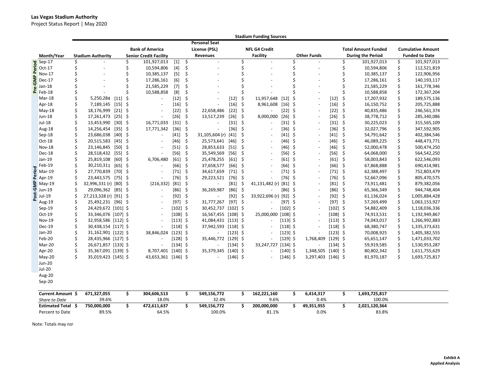### **Las Vegas Stadium Authority**

Project Status Report | May 2020

|       |                            |         |                          |           |     |                               |            |         |                          |            |         | <b>Stadium Funding Sources</b> |            |   |                                                                             |            |      |                            |    |                          |
|-------|----------------------------|---------|--------------------------|-----------|-----|-------------------------------|------------|---------|--------------------------|------------|---------|--------------------------------|------------|---|-----------------------------------------------------------------------------|------------|------|----------------------------|----|--------------------------|
|       |                            |         |                          |           |     |                               |            |         | <b>Personal Seat</b>     |            |         |                                |            |   |                                                                             |            |      |                            |    |                          |
|       |                            |         |                          |           |     | <b>Bank of America</b>        |            |         | License (PSL)            |            |         | <b>NFL G4 Credit</b>           |            |   |                                                                             |            |      | <b>Total Amount Funded</b> |    | <b>Cumulative Amount</b> |
|       | Month/Year                 |         | <b>Stadium Authority</b> |           |     | <b>Senior Credit Facility</b> |            |         | Revenues                 |            |         | <b>Facility</b>                |            |   | <b>Other Funds</b>                                                          |            |      | <b>During the Period</b>   |    | <b>Funded to Date</b>    |
|       | Sep-17<br>Oct-17<br>Nov-17 | Ś       |                          |           | \$  | 101,927,013                   | $[1]$      | $\zeta$ | $\mathbf{r}$             |            | Ś       |                                |            |   |                                                                             |            | Ś    | 101,927,013                | \$ | 101,927,013              |
|       |                            | \$      |                          |           | \$  | 10,594,806                    | $[4]$      | \$      | $\ddot{\phantom{1}}$     |            | \$      |                                |            | Ś |                                                                             |            | Ś    | 10,594,806                 | \$ | 112,521,819              |
|       | Nov-17                     |         |                          |           | \$  | 10,385,137                    | [5]        | \$      |                          |            | Ś       |                                |            |   |                                                                             |            | Ś    | 10,385,137                 | \$ | 122,906,956              |
| P-GM∣ | <b>Dec-17</b>              |         |                          |           | \$  | 17,286,161                    | [6]        | \$      |                          |            |         |                                |            |   |                                                                             |            | \$   | 17,286,161                 | \$ | 140,193,117              |
|       | Jan-18                     |         |                          |           | \$  | 21,585,229                    | $[7]$      | \$      |                          |            |         |                                |            |   |                                                                             |            | Ś    | 21,585,229                 | \$ | 161,778,346              |
|       | $E$ Feb-18                 | Ś       |                          |           | Ś   | 10,588,858                    | [8]        | \$      | ä,                       |            | Ś       |                                |            |   |                                                                             |            | Ś    | 10,588,858                 | \$ | 172,367,204              |
|       | Mar-18                     |         | 5,250,284                | $[11]$    | \$  | $\overline{\phantom{a}}$      | $[12]$     | \$      | $\overline{\phantom{a}}$ | [12]       | \$      | 11,957,648                     | $[12]$     | Š | $\sim$                                                                      | $[12]$     | Ś    | 17,207,932                 | \$ | 189,575,136              |
|       | Apr-18                     |         | 7,189,145                | $[15]$ \$ |     | $\sim$                        | $[16]$     | -\$     | ä,                       | $[16]$     | -\$     | 8,961,608                      | $[16]$ \$  |   | $\sim$                                                                      | $[16]$     | \$   | 16,150,752                 | \$ | 205,725,888              |
|       | $May-18$                   |         | 18,176,999               | $[21]$    | \$  | $\sim$                        | $[22]$     | $\zeta$ | 22,658,486               | $[22]$     | S,      |                                | $[22]$ \$  |   | $\sim$                                                                      | $[22]$     | \$   | 40,835,486                 | \$ | 246,561,374              |
|       | Jun-18                     |         | 17,261,473               | $[25]$ \$ |     | $\sim$                        | $[26]$     | $\zeta$ | 13,517,239               | $[26]$     | \$      | 8,000,000                      | $[26]$ \$  |   | $\sim$                                                                      | $[26]$     | \$   | 38,778,712                 | \$ | 285,340,086              |
|       | $Jul-18$                   |         | 13,453,990               | $[30]$    | \$  | 16,771,033                    | $[31]$     | - \$    | $\overline{a}$           | $[31]$     | $\zeta$ |                                | $[31]$ \$  |   | $\sim$                                                                      | $[31]$     | -\$  | 30,225,023                 | \$ | 315,565,109              |
|       | Aug-18                     | Ś       | 14,256,454               | $[35]$ \$ |     | 17,771,342                    | $[36]$     | - \$    |                          | $[36]$     | S,      |                                | $[36]$ \$  |   | $\sim$                                                                      | $[36]$     | - \$ | 32,027,796                 | \$ | 347,592,905              |
|       | $Sep-18$                   | \$      | 23,686,038               | $[40]$    | \$  | $\blacksquare$                | $[41]$     | -\$     | 31,105,604 (r)           | $[41]$     | \$      |                                | $[41]$ \$  |   | $\sim$                                                                      | $[41]$ \$  |      | 54,791,642                 | \$ | 402,384,546              |
|       | Oct-18                     | Ś       | 20,515,583               | $[45]$    | \$  | $\sim$                        | $[46]$     | $\zeta$ | 25,573,641               | $[46]$     | \$      |                                | $[46]$ \$  |   | $\sim$                                                                      | $[46]$     | \$   | 46,089,225                 | \$ | 448,473,771              |
|       | <b>Nov-18</b>              | Ś       | 23,146,845               | $[50]$ \$ |     | $\sim$                        | $[51]$     | - \$    | 28,853,633               | $[51]$     | \$      |                                | $[46]$ \$  |   | $\sim$                                                                      | $[46]$     | -\$  | 52,000,478                 | \$ | 500,474,250              |
|       | Dec-18                     |         | 28,518,432               | $[55]$ \$ |     | $\blacksquare$                | $[56]$     | - \$    | 35,549,569               | $[56]$     | Ś       |                                | $[56]$ \$  |   | $\overline{\phantom{a}}$                                                    | $[56]$     | \$   | 64,068,000                 | \$ | 564,542,250              |
|       | Jan-19                     |         | 25,819,108               | $[60]$ \$ |     | 6,706,480                     | $[61]$ \$  |         | 25,478,255               | [61]       | - \$    |                                | $[61]$ \$  |   | $\sim$                                                                      | $[61]$ \$  |      | 58,003,843                 | \$ | 622,546,093              |
|       | Feb-19                     |         | 30,210,311               | [65]      | -\$ | $\sim$                        | [66]       | -\$     | 37,658,577               | [66]       | Ś.      |                                | $[66]$ \$  |   | $\sim$                                                                      | [66]       | \$   | 67,868,888                 | \$ | 690,414,981              |
|       | $\frac{5}{2}$ Mar-19       | Ś       | 27,770,839               | $[70]$ \$ |     | $\sim$                        | $[71]$     | - \$    | 34,617,659               | $[71]$     | - \$    |                                | $[71]$ \$  |   | $\sim$                                                                      | $[71]$ \$  |      | 62,388,497                 | \$ | 752,803,479              |
|       |                            | Ś       | 23,443,575 [75] \$       |           |     | $\overline{\phantom{a}}$      | [76]       | -\$     | 29,223,521               | $[76]$     | -\$     |                                | $[76]$ \$  |   | $\sim$                                                                      | $[76]$     | -\$  | 52,667,096                 | \$ | 805,470,575              |
|       | May-19                     |         | 32,996,331 (r) [80] \$   |           |     | (216, 332)                    | $[81]$ \$  |         |                          | $[81]$     | \$      | 41,131,482 (r) [81] \$         |            |   | $\sim$                                                                      | $[81]$ \$  |      | 73,911,481                 | \$ | 879,382,056              |
| e⊠    | <b>Jun-19</b>              | Ś.      | 29,096,362 [85] \$       |           |     | $\blacksquare$                | [86]       | - \$    | 36,269,987               | $[86]$     | - \$    |                                | $[86]$ \$  |   |                                                                             | [86]       | \$   | 65,366,349                 | \$ | 944,748,404              |
| post  | Jul-19                     |         | 27,213,328 (r) [91] \$   |           |     | $\sim$                        | $[92]$     | -\$     | $\overline{\phantom{a}}$ | $[92]$     | -\$     | 33,922,696 (r)                 | $[92]$ \$  |   | $\sim$                                                                      | $[92]$     | - \$ | 61,136,024                 | \$ | 1,005,884,428            |
|       | Aug-19                     | Ś       | 25,492,231 [96] \$       |           |     | $\sim$                        | $[97]$ \$  |         | 31,777,267               | $[97]$ \$  |         |                                | $[97]$ \$  |   | $\sim$                                                                      | $[97]$ \$  |      | 57,269,499                 | \$ | 1,063,153,927            |
|       | Sep-19                     | Ś.      | 24,429,672 [101] \$      |           |     |                               | $[102]$ \$ |         | 30,452,737 [102] \$      |            |         |                                | $[102]$ \$ |   | $\sim$                                                                      | $[102]$ \$ |      | 54,882,409                 | \$ | 1,118,036,336            |
|       | Oct-19                     |         | 33,346,076 [107] \$      |           |     | $\sim$                        | $[108]$ \$ |         | 16,567,455 [108] \$      |            |         | 25,000,000 [108] \$            |            |   | $\sim$                                                                      | $[108]$ \$ |      | 74,913,531                 | \$ | 1,192,949,867            |
|       | <b>Nov-19</b>              |         | 32,958,586 [112] \$      |           |     |                               | $[113]$ \$ |         | 41,084,431 [113] \$      |            |         |                                | $[113]$ \$ |   |                                                                             | $[113]$ \$ |      | 74,043,017                 | Ś  | 1,266,992,883            |
|       | Dec-19                     | Ś       | 30,438,154 [117] \$      |           |     | $\qquad \qquad \blacksquare$  | $[118]$ \$ |         | 37,942,593 [118] \$      |            |         |                                | $[118]$ \$ |   | $\sim$                                                                      | $[118]$ \$ |      | 68,380,747                 | \$ | 1,335,373,631            |
|       | Jan-20                     | Ś.      | 31,162,901 [122] \$      |           |     | 38,846,024                    | $[123]$ \$ |         |                          | $[123]$ \$ |         |                                | $[123]$ \$ |   |                                                                             | $[123]$ \$ |      | 70,008,925                 | \$ | 1,405,382,555            |
|       | Feb-20                     |         | 28,435,966 [127] \$      |           |     | $\sim$                        | $[128]$ \$ |         | 35,446,772 [129] \$      |            |         |                                | $[129]$ \$ |   | 1,768,409                                                                   | $[129]$ \$ |      | 65,651,147                 | \$ | 1,471,033,702            |
|       | Mar-20                     |         | 26,671,857 [133] \$      |           |     | $\sim$                        | $[134]$ \$ |         |                          | $[134]$ \$ |         | 33,247,727                     | $[134]$ \$ |   |                                                                             | $[134]$ \$ |      | 59,919,585                 | \$ | 1,530,953,287            |
|       | Apr-20                     | Ś       | 35,367,091 [139] \$      |           |     | 8,707,401                     | $[140]$ \$ |         | 35,379,345               | $[140]$ \$ |         |                                | $[140]$ \$ |   | 1,348,505                                                                   | $[140]$ \$ |      | 80,802,342                 | \$ | 1,611,755,629            |
|       | $May-20$                   | Ś.      | 35,019,423 [145] \$      |           |     | 43,653,361 [146] \$           |            |         |                          | $[146]$ \$ |         |                                | $[146]$ \$ |   | 3,297,403 [146] \$                                                          |            |      | 81,970,187                 | \$ | 1,693,725,817            |
|       | <b>Jun-20</b>              |         |                          |           |     |                               |            |         |                          |            |         |                                |            |   |                                                                             |            |      |                            |    |                          |
|       | $Jul-20$                   |         |                          |           |     |                               |            |         |                          |            |         |                                |            |   |                                                                             |            |      |                            |    |                          |
|       | Aug-20                     |         |                          |           |     |                               |            |         |                          |            |         |                                |            |   |                                                                             |            |      |                            |    |                          |
|       | Sep-20                     |         |                          |           |     |                               |            |         |                          |            |         |                                |            |   |                                                                             |            |      |                            |    |                          |
|       |                            |         |                          |           |     |                               |            |         |                          |            |         |                                |            |   |                                                                             |            |      |                            |    |                          |
|       | C <sub>1</sub>             | الحمادة | 671.22205                |           | ÷   | 2040000012                    |            |         | $FAO$ $AEC$ $772$        |            | ÷       | 102221100                      |            |   | $C$ $A$ <sup>4<math>A</math></sup> $A$ <sup><math>\overline{A}</math></sup> |            |      | 1.002720017                |    |                          |

| <b>Current Amount</b>  | 671,327,055 | 304.606.513 | 549.156.772 | 162.221.160 | 6,414,317  | 1,693,725,817 |
|------------------------|-------------|-------------|-------------|-------------|------------|---------------|
| Share to Date          | 39.6%       | 18.0%       | 32.4%       | 9.6%        | 0.4%       | 100.0%        |
| <b>Estimated Total</b> | 750,000,000 | 472.611.637 | 549.156.772 | 200,000,000 | 49,351,955 | 2,021,120,364 |
| Percent to Date        | 89.5%       | 64.5%       | 100.0%      | 81.1%       | 0.0%       | 83.8%         |

Note: Totals may no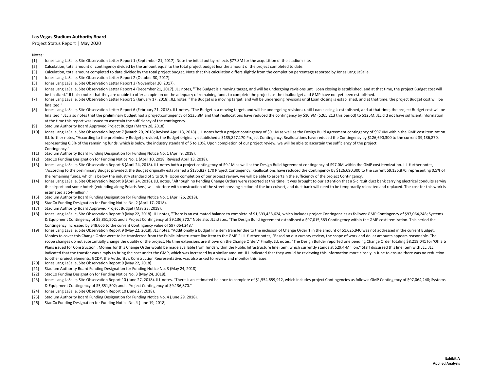Project Status Report | May 2020

#### Notes:

- [1] Jones Lang LaSalle, Site Observation Letter Report <sup>1</sup> (September 21, 2017). Note the initial outlay reflects \$77.8M for the acquisition of the stadium site.
- [2] Calculation, total amount of contingency divided by the amount equal to the total project budget less the amount of the project completed to date.
- [3] Calculation, total amount completed to date dividedby the total project budget. Note that this calculation differs slightly from the completion percentage reported by Jones Lang LaSalle.
- [4] Jones Lang LaSalle, Site Observation Letter Report 2 (October 30, 2017).
- [5] Jones Lang LaSalle, Site Observation Letter Report 3 (November 20, 2017).
- [6] Jones Lang LaSalle, Site Observation Letter Report 4 (December 21, 2017). JLL notes, "The Budget is a moving target, and will be undergoing revisions until Loan closing is established, and at that time, the project Budget be finalized." JLL also notes that they are unable to offer an opinion on the adequacy of remaining funds to complete the project, as the finalbudget and GMP have not yet been established.
- [7] Jones Lang LaSalle, Site Observation Letter Report 5 (January 17, 2018). JLL notes, "The Budget is a moving target, and will be undergoing revisions until Loan closing is established, and at that time, the project Budget c finalized."
- [8] Jones Lang LaSalle, Site Observation Letter Report 6 (February 21, 2018). JLL notes, "The Budget is a moving target, and will be undergoing revisions until Loan closing is established, and at that time, the project Budget finalized." JLL also notes that the preliminary budget had a project contingency of \$135.8M and that reallocations have reduced the contingency by \$10.9M (\$265,213 this period) to \$125M. JLL did not have sufficient informa at the time this report was issued to ascertain the sufficiency of the contingency.
- [9] Stadium Authority Board Approved Project Budget (March 28, 2018).
- [10] Jones Lang LaSalle, Site Observation Report 7 (March 20, 2018; Revised April 13, 2018). JLL notes both a project contingency of \$9.1M as well as the Design Build Agreement contingency of \$97.0M within the GMP cost ite JLL further notes, "According to the preliminary Budget provided, the Budget originally established <sup>a</sup> \$135,827,170 Project Contingency. Reallocations have reduced the Contingency by \$126,690,300 to the current \$9,136,870, representing 0.5% of the remaining funds, which is below the industry standard of 5 to 10%. Upon completion of our project review, we will be able to ascertain the sufficiency of the project Contingency<sup>"</sup>
- [11] Stadium Authority Board Funding Designation for Funding Notice No. 1 (April 9, 2018).
- [12] StadCo Funding Designation for Funding Notice No. 1 (April 10, 2018; Revised April 13, 2018).
- [13] Jones Lang LaSalle, Site Observation Report 8 (April 24, 2018). JLL notes both a project contingency of \$9.1M as well as the Design Build Agreement contingency of \$97.0M within the GMP cost itemization. JLL further no "According to the preliminary Budget provided, the Budget originally established <sup>a</sup> \$135,827,170 Project Contingency. Reallocations have reduced the Contingency by \$126,690,300 to the current \$9,136,870, representing 0.5% of the remaining funds, which is below the industry standard of 5 to 10%. Upon completion of our project review, we will be able to ascertain the sufficiency of the project Contingency.
- [14] Jones Lang LaSalle, Site Observation Report 8 (April 24, 2018). JLL notes, "Although no Pending Change Orders were reported at this time, it was brought to our attention that a 5-circuit duct bank carrying electrical the airport and some hotels (extending along Polaris Ave.) will interfere with construction of the street crossing section of the box culvert, and duct bank will need to be temporarily relocated and replaced. The cost for estimated at \$4‐million."
- [15] Stadium Authority Board Funding Designation for Funding Notice No. 1 (April 26, 2018).
- [16] StadCo Funding Designation for Funding Notice No. 2 (April 17, 2018).
- [17] Stadium Authority Board Approved Project Budget (May 23, 2018).
- [18] Jones Lang LaSalle, Site Observation Report 9 (May 22, 2018). JLL notes, "There is an estimated balance to complete of \$1,593,438,624, which includes project Contingencies as follows: GMP Contingency of \$97,064,248; S & Equipment Contingency of \$5,851,502; and <sup>a</sup> Project Contingency of \$9,136,870." Note also JLL states, "The Design Build Agreement established <sup>a</sup> \$97,015,583 Contingency within the GMP cost itemization. This period the Contingency increased by \$48,666 to the current Contingency value of \$97,064,248."
- [19] Jones Lang LaSalle, Site Observation Report 9 (May 22, 2018). JLL notes, "Additionally a budget line item transfer due to the inclusion of Change Order 1 in the amount of \$1,625,940 was not addressed in the current Bu Monies to cover this Change Order were to be transferred from the Public Infrastructure line item to the GMP." JLL further notes, "Based on our cursory review, the scope of work and dollar amounts appears reasonable. The scope changes do not substantially change the quality of the project. No time extensions are shown on the Change Order." Finally, JLL notes, "The Design Builder reported one pending Change Order totaling \$8,219,041 for 'Of Plans issued for Construction'. Monies for this Change Order would be made available from funds within the Public Infrastructure line item, which currently stands at \$29.4-Million." Staff discussed this line item with JLL. indicated that the transfer was simply to bring the cost under the GMP, which was increased by a similar amount. JLL indicated that they would be reviewing this information more closely in June to ensure there was no reduc to other project elements. GCDP, the Authority's Construction Representative, was also asked to review and monitor this issue.
- [20] Jones Lang LaSalle, Site Observation Report 9 (May 22, 2018).
- [21] Stadium Authority Board Funding Designation for Funding Notice No. 3 (May 24, 2018).
- [22] StadCo Funding Designation for Funding Notice No. 3 (May 24, 2018).
- [23] Jones Lang LaSalle, Site Observation Report 10 (June 27, 2018). JLL notes, "There is an estimated balance to complete of \$1,554,659,912, which includes project Contingencies as follows: GMP Contingency of \$97,064,248; & Equipment Contingency of \$5,851,502; and <sup>a</sup> Project Contingency of \$9,136,870."
- [24] Jones Lang LaSalle, Site Observation Report 10 (June 27, 2018).
- [25] Stadium Authority Board Funding Designation for Funding Notice No. 4 (June 29, 2018).
- [26] StadCo Funding Designation for Funding Notice No. 4 (June 19, 2018).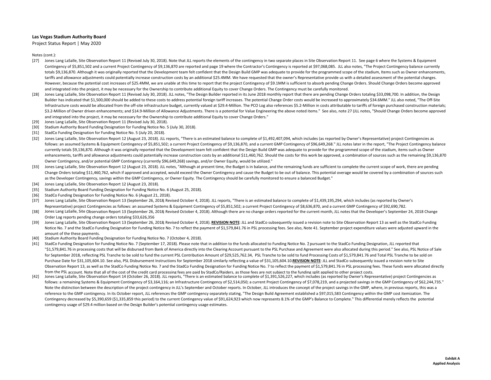Project Status Report | May 2020

- [27] Jones Lang LaSalle, Site Observation Report 11 (Revised July 30, 2018). Note that JLL reports the elements of the contingency in two separate places in Site Observation Report 11. See page 6 where the Systems & Equipm Contingency of \$5,851,502 and <sup>a</sup> current Project Contingency of \$9,136,870 are reported and page 19 where the Contractor's Contingency is reported at \$97,068,085. JLL also notes, "The Project Contingency balance currently totals \$9,136,870. Although it was originally reported that the Development team felt confident that the Design Build GMP was adequate to provide for the programmed scope of the stadium, Items such as Owner enhancements, tariffs and allowance adjustments could potentially increase construction costs by an additional \$25.4MM. We have requested that the owner's Representative provide us with <sup>a</sup> detailed assessment of the potential changes. However, because the potential cost increases of \$25.4MM, we are unable at this time to report that the project Contingency of \$9.1MM is sufficient to absorb pending Change Orders. Should Change Orders become approved and integrated into the project, it may be necessary for the Ownership to contribute additional Equity to cover Change Orders. The Contingency must be carefully monitored.
- [28] Jones Lang LaSalle, Site Observation Report 11 (Revised July 30, 2018). JLL notes, "The Design Builder reported in its June 2018 monthly report that there are pending Change Orders totaling \$33,098,700. In addition, t Builder has indicated that \$1,500,000 should be added to these costs to address potential foreign tariff increases. The potential Change Order costs would be increased to approximately \$34.6MM." JLL also noted, "The Off‐Si Infrastructure costs would be allocated from the off-site infrastructure budget, currently valued at \$29.4-Million. The PCO Log also references \$5.2-Million in costs attributable to tariffs of foreign purchased constructio \$3.2-Million of Owner driven enhancements; and \$14.9-Million of Allowance Adjustments. There is a potential for Value Engineering the above noted items." See also, note 27 (JLL notes, "Should Change Orders become approved and integrated into the project, it may be necessary for the Ownership to contribute additional Equity to cover Change Orders."
- [29] Jones Lang LaSalle, Site Observation Report 11 (Revised July 30, 2018).
- [30] Stadium Authority Board Funding Designation for Funding Notice No. 5 (July 30, 2018).
- [31] StadCo Funding Designation for Funding Notice No. 5 (July 20, 2018).
- [32] Jones Lang LaSalle, Site Observation Report 12 (August 23, 2018). JLL reports, "There is an estimated balance to complete of \$1,492,407,094, which includes (as reported by Owner's Representative) project Contingencies follows: an assumed Systems & Equipment Contingency of \$5,851,502; a current Project Contingency of \$9,136,870, and a current GMP Contingency of \$96,649,268." JLL notes later in the report, "The Project Contingency balance currently totals \$9,136,870. Although it was originally reported that the Development team felt confident that the Design Build GMP was adequate to provide for the programmed scope of the stadium, items such as Owner enhancements, tariffs and allowance adjustments could potentially increase construction costs by an additional \$11.460.762. Should the costs for this work be approved, a combination of sources such as the remaining \$9.136. Owner Contingency, and/or potential GMP Contingency (currently \$96,649,268) savings, and/or Owner Equity, would be utilized."
- [33] Jones Lang LaSalle, Site Observation Report 12 (August 23, 2018). JLL notes, "Although at present time, the Budget is in balance, and the remaining funds are sufficient to complete the current scope of work, there are pend Change Orders totaling \$11,460,762, which if approved and accepted, would exceed the Owner Contingency and cause the Budget to be out of balance. This potential overage would be covered by a combination of sources such as the Developer Contingency, savings within the GMP Contingency, or Owner Equity. The Contingency should be carefully monitored to ensure <sup>a</sup> balanced Budget."
- [34] Jones Lang LaSalle, Site Observation Report 12 (August 23, 2018).
- [35] Stadium Authority Board Funding Designation for Funding Notice No. 6 (August 25, 2018).
- [36] StadCo Funding Designation for Funding Notice No. 6 (August 21, 2018).
- [37] Jones Lang LaSalle, Site Observation Report 13 (September 26, 2018; Revised October 4, 2018). JLL reports, "There is an estimated balance to complete of \$1,439,195,294, which includes (as reported by Owner's Representative) project Contingencies as follows: an assumed Systems & Equipment Contingency of \$5,851,502; a current Project Contingency of \$8,636,870, and a current GMP Contingency of \$92,690,782.
- [38] Jones Lang LaSalle, Site Observation Report 13 (September 26, 2018; Revised October 4, 2018). Although there are no change orders reported for the current month, JLL notes that the Developer's September 24, 2018 Change Order Log reports pending change orders totaling \$33,626,356
- [39] Jones Lang LaSalle, Site Observation Report 13 (September 26, 2018; Revised October 4, 2018). <u>REVISION NOTE</u>: JLL and StadCo subsequently issued a revision note to Site Observation Report 13 as well as the StadCo Funding Notice No. 7 and the StadCo Funding Designation for Funding Notice No. 7 to reflect the payment of \$1,579,841.76 in PSL processing fees. See also, Note 41. September project expenditure values were adjusted upward in the amount of the these payments.
- [40] Stadium Authority Board Funding Designation for Funding Notice No. 7 (October 4, 2018).
- [41] StadCo Funding Designation for Funding Notice No. 7 (September 17, 2018). Please note that in addition to the funds allocated to Funding Notice No. 7 pursuant to the StadCo Funding Designation, JLL reported that "\$1.579.841.76 in processing costs that will be disbursed from Bank of America directly into the Clearing Account pursuant to the PSL Purchase and Agreement were also allocated during this period." See also, PSL Notice of for September 2018, reflecting PSL Tranche to be sold to fund the current PSL Contribution Amount of \$29,525,762.34, PSL Tranche to be sold to fund Processing Costs of \$1,579,841.76 and Total PSL Tranche to be sold on Purchase Date for \$31,105,604.10. See also, PSL Disbursement Instructions for September 2018 similarly reflecting a value of \$31,105,604.10.REVISION NOTE: JLL and StadCo subsequently issued a revision note to Site Observation Report 13, as well as the StadCo Funding Notice No. 7 and the StadCo Funding Designation for Funding Notice No. 7 to reflect the payment of \$1,579,841.76 in PSL processing fees. These funds were allocated direc from the PSL account. Note that all of the cost of the credit card processing fees are paid by StadCo/Raiders. as those fees are not subiect to the funding split applied to other proiect costs.
- $[42]$ Jones Lang LaSalle, Site Observation Report 14 (October 26, 2018). JLL reports, "There is an estimated balance to complete of \$1,391,526,227, which includes (as reported by Owner's Representative) project Contingencies as follows: a remaining Systems & Equipment Contingency of \$3,164,116; an Infrastructure Contingency of \$2,514,050; <sup>a</sup> current Project Contingency of \$7,078,219, and <sup>a</sup> projected savings in the GMP Contingency of \$62,244,735." Note the distinction between the description of the project contingency in JLL's September and October reports. In October, JLL introduces the concept of the project savings in the GMP, where, in previous reports, this was reference to the GMP contingency. In its October report, JLL references the GMP contingency separately stating, "The Design Build Agreement established a \$97,015,583 Contingency within the GMP cost itemization. The Contingency decreased by \$5,390,659 (\$1,335,859 this period) to the current Contingency value of \$91,624,923 which now represents 8.1% of the GMP's Balance to Complete." This differential merely reflects the potential contingency usage of \$29.4 million based on the Design Builder's potential contingency usage estimates.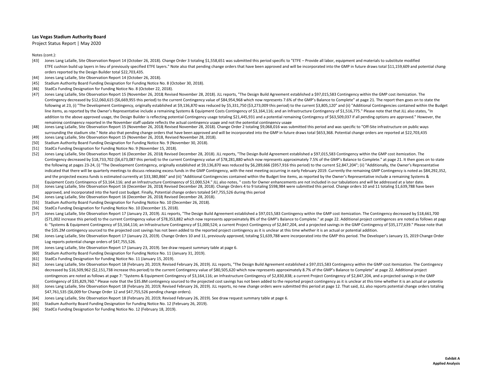Project Status Report | May 2020

- [43] Jones Lang LaSalle, Site Observation Report <sup>14</sup> (October 26, 2018). Change Order 3 totaling \$1,558,651 was submitted this period specific to "ETFE Provide all labor, equipment and materials to substitute modified ETFE cushion build up layers in lieu of previously specified ETFE layers." Note also that pending change orders that have been approved and will be incorporated into the GMP in future draws total \$11,159,609 and potential orders reported by the Design Builder total \$22,703,435.
- [44] Jones Lang LaSalle, Site Observation Report 14 (October 26, 2018).
- [45] Stadium Authority Board Funding Designation for Funding Notice No. 8 (October 30, 2018).
- [46] StadCo Funding Designation for Funding Notice No. 8 (October 22, 2018).
- [47] Jones Lang LaSalle, Site Observation Report <sup>15</sup> (November 26, 2018; Revised November 28, 2018). JLL reports, "The Design Build Agreement established <sup>a</sup> \$97,015,583 Contingency within the GMP cost itemization. The Contingency decreased by \$12,060,615 (\$6,669,955 this period) to the current Contingency value of \$84,954,968 which now represents 7.6% of the GMP's Balance to Complete" at page 21. The report then goes on to state the following at 23, (i) "The Development Contingency, originally established at \$9,136,870 was reduced by \$5,331,750 (\$3,273,009 this period) to the current \$3,805,120" and (ii) "Additional Contingencies contained within the line items, as reported by the Owner's Representative include a remaining Systems & Equipment Costs Contingency of \$3,164,116; and an Infrastructure Contingency of \$1,516,775." Please note that that JLL also states, "In addition to the above approved usage, the Design Builder is reflecting potential Contingency usage totaling \$21,445,931 and a potential remaining Contingency of \$63,509,037 if all pending options are approved." However, th remaining contingency reported in the November staff update reflects the actual contingency usage and not the potential contingency usage
- [48] Jones Lang LaSalle, Site Observation Report 15 (November 26, 2018; Revised November 28, 2018). Change Order 2 totaling \$9,068,016 was submitted this period and was specific to "Off-Site infrastructure on public ways surrounding the stadium site." Note also that pending change orders that have been approved and will be incorporated into the GMP in future draws total \$653,368. Potential change orders are reported at \$22,703,435
- [49] Jones Lang LaSalle, Site Observation Report 15 (November 26, 2018, Revised November 28, 2018).
- [50] Stadium Authority Board Funding Designation for Funding Notice No. 9 (November 30, 2018).
- [51] StadCo Funding Designation for Funding Notice No. 9 (November 15, 2018).
- [52] Jones Lang LaSalle, Site Observation Report 16 (December 26, 2018; Revised December 28, 2018). JLL reports, "The Design Build Agreement established a \$97,015,583 Contingency within the GMP cost itemization. The Contingency decreased by \$18,733,702 (\$6,673,087 this period) to the current Contingency value of \$78,281,880 which now represents approximately 7.5% of the GMP's Balance to Complete." at page 21. It then goes on to state the following at pages 23‐24, (i) "The Development Contingency, originally established at \$9,136,870 was reduced by \$6,289,666 (\$957,916 this period) to the current \$2,847,204"; (ii) "Additionally, the Owner's Representative indicated that there will be quarterly meetings to discuss releasing excess funds in the GMP Contingency, with the next meeting occurring in early February 2019. Currently the remaining GMP Contingency is noted as \$84,292, and the projected excess funds is estimated currently at \$33,380,866" and (iii) "Additional Contingencies contained within the Budget line items, as reported by the Owner's Representative include a remaining Systems &
- [53] Equipment Costs Contingency of \$3,164,116; and an Infrastructure Contingency of \$1,000,524." JLL also notes, " costs for Owner enhancements are not included in our tabulations and will be addressed at a later date. Jones Lang LaSalle, Site Observation Report 16 (December 26, 2018; Revised December 28, 2018). Change Orders <sup>4</sup> to 9 totaling \$598,984 were submitted this period. Change orders 10 and <sup>11</sup> totaling \$1,639,788 have been approved, and incorporated into the hard cost budget. Finally, Potential change orders totaled \$47,755,526 during this period
- [54] Jones Lang LaSalle, Site Observation Report 16 (December 26, 2018; Revised December 28, 2018).
- [55] Stadium Authority Board Funding Designation for Funding Notice No. 10 (December 26, 2018).
- [56] StadCo Funding Designation for Funding Notice No. 10 (December 15, 2018).
- [57] Jones Lang LaSalle, Site Observation Report <sup>17</sup> (January 23, 2019). JLL reports, "The Design Build Agreement established <sup>a</sup> \$97,015,583 Contingency within the GMP cost itemization. The Contingency decreased by \$18,661,700 (\$71,002 increase this period) to the current Contingency value of \$78,353,882 which now represents approximately 8% of the GMP's Balance to Complete." at page 22. Additional project contingences are noted as follows at page 6: "Systems & Equipment Contingency of \$3,164,116; an Infrastructure Contingency of \$1,000,524; a current Project Contingency of \$2,847,204, and a projected savings in the GMP Contingency of \$35,177,639." Please note that the \$35.2M contingency sourced to the projected cost savings has not been added to the reported project contingency as it is unclear at this time whether it is an actual or potential addition.
- [58] Jones Lang LaSalle, Site Observation Report 17 (January 23, 2019). Change Orders 10 and 11, previously approved, totaling \$1,639,788 were incorporated into the GMP this period. The Developer's January 15, 2019 Change Log reports potential change orders of \$47,755,526.
- [59] Jones Lang LaSalle, Site Observation Report 17 (January 23, 2019). See draw request summary table at page 6.
- [60] Stadium Authority Board Funding Designation for Funding Notice No. 11 (January 31, 2019).
- [61] StadCo Funding Designation for Funding Notice No. 11 (January 15, 2019).
- [62] Jones Lang LaSalle, Site Observation Report 18 (February 20, 2019; Revised February 26, 2019). JLL reports, "The Design Build Agreement established a \$97,015,583 Contingency within the GMP cost itemization. The Contin decreased by \$16,509,962 (\$2,151,738 increase this period) to the current Contingency value of \$80,505,620 which now represents approximately 8.7% of the GMP's Balance to Complete" at page 22. Additional project contingences are noted as follows at page 7: "Systems & Equipment Contingency of \$3,164,116; an Infrastructure Contingency of \$2,830,838; a current Project Contingency of \$2,847,204, and a projected savings in the GMP Contingency of \$35,829,760." Please note that the \$35.8M contingency sourced to the projected cost savings has not been added to the reported project contingency as it is unclear at this time whether it is an actual or pot
- [63] Jones Lang LaSalle, Site Observation Report 18 (February 20, 2019; Revised February 26, 2019). JLL reports, no new change orders were submitted this period at page 12. That said, JLL also reports potential change orde \$47,761,535 (\$6,009 for Change Order <sup>12</sup> and \$47,755,526 pending change orders).
- [64] Jones Lang LaSalle, Site Observation Report 18 (February 20, 2019; Revised February 26, 2019). See draw request summary table at page 6.
- [65] Stadium Authority Board Funding Designation for Funding Notice No. 12 (February 26, 2019).
- [66] StadCo Funding Designation for Funding Notice No. 12 (February 18, 2019).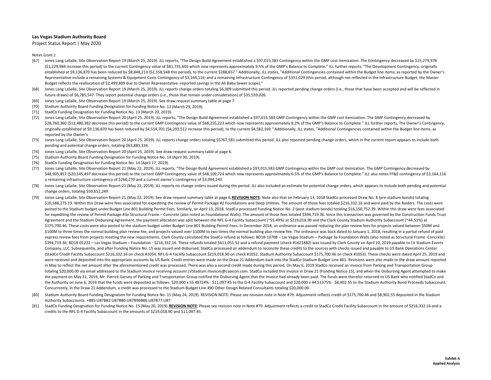Project Status Report | May 2020

- [67] Jones Lang LaSalle, Site Observation Report 19 (March 25, 2019). JLL reports, "The Design Build Agreement established <sup>a</sup> \$97,015,583 Contingency within the GMP cost itemization. The Contingency decreased by \$15,279,978 (\$1,229,984 increase this period) to the current Contingency value of \$81,735,605 which now represents approximately 9.5% of the GMP's Balance to Complete." JLL further reports, "The Development Contingency, originally established at \$9,136,870 has been reduced by \$8,848,213 (\$2,558,548 this period), to the current \$288,657." Additionally, JLL states, "Additional Contingencies contained within the Budget line items, as reported by the Ow Representative include a remaining Systems & Equipment Costs Contingency of \$3,164,116; and a remaining Infrastructure Contingency of \$331,029 (this period, although not reflected in the Infrastructure Budget, the Master Budget reflects the reallocation of \$2,499,809 due to Owner Representative -reported savings in the Ali Baba Sewer scope)."
- [68] Jones Lang LaSalle, Site Observation Report 19 (March 25, 2019). JLL reports change orders totaling \$6,009 submitted this period. JLL reported pending change orders (i.e., those that have been accepted and will be ref future draws) of \$6,785,547. They report potential change orders (i.e., those that remain under consideration) of \$35,559,026.
- [69] Jones Lang LaSalle, Site Observation Report 19 (March 25, 2019). See draw request summary table at page 7.
- [70] Stadium Authority Board Funding Designation for Funding Notice No. 13 (March 29, 2019).
- [71] StadCo Funding Designation for Funding Notice No. 13 (March 20, 2019).
- [72] Jones Lang LaSalle, Site Observation Report 20 (April 25, 2019). JLL reports, "The Design Build Agreement established <sup>a</sup> \$97,015,583 GMP Contingency within the GMP cost itemization. The GMP Contingency decreased by \$28,760,360 (\$13,480,382 decrease this period) to the current GMP Contingency value of \$68,255,223 which now represents approximately 8.2% of the GMP's Balance to Complete." JLL further reports, The Owner's Contingency, originally established at \$9,136,870 has been reduced by \$4,554,701 (\$4,293,512 increase this period), to the current \$4,582,169." Additionally, JLL states, "Additional Contingencies contained within the Budget line items, reported by the Owner's
- [73] Jones Lang LaSalle, Site Observation Report 20 (April 25, 2019). JLL reports change orders totaling \$\$767,581 submitted this period. JLL also reported pending change orders, which in the current report appears to incl pending and potential change orders, totaling \$63,883,334.
- [74] Jones Lang LaSalle, Site Observation Report 20 (April 25, 2019). See draw request summary table at page 6.
- [75] Stadium Authority Board Funding Designation for Funding Notice No. 14 (April 30, 2019).
- [76] StadCo Funding Designation for Funding Notice No. 14 (April 17, 2019).
- [77] Jones Lang LaSalle, Site Observation Report <sup>21</sup> (May 22, 2019). JLL reports, "The Design Build Agreement established <sup>a</sup> \$97,015,583 GMP Contingency within the GMP cost itemization. The GMP Contingency decreased by \$48,905,857 (\$20,145,497 decrease this period) to the current GMP Contingency value of \$48,109,724 which now represents approximately 6.5% of the GMP's Balance to Complete." JLL also notes FF&E contingency of \$3,164,116 a remaining infrastructure contingency of \$260,270 and <sup>a</sup> current owner's contingency of \$3,094,243.
- [78] Jones Lang LaSalle, Site Observation Report 21 (May 22, 2019). JLL reports no change orders issued during the period. JLL also included an estimate for potential change orders, which appears to include both pending an change orders, totaling \$59,652,249.
- [79] Jones Lang LaSalle, Site Observation Report 21 (May 22, 2019). See draw request summary table at page 6.REVISION NOTE: Note also that on February 13, 2018 StadCo processed Draw No. 8 (pre stadium bonds) totaling \$10,588,275.19. Within this Draw were fees associated for expediting the review of Permit Package #2 Foundations and Deep Utilities. The amount of those fees totaled \$216,332.16 and were paid by the Raiders. The costs were posted to the Stadium budget under Budget Line 801 Building Permit Fees. Similarly, on April 13, 2018, StadCo processed Funding Notice No. 2 (post stadium bonds) totaling \$16,150,752.39. Within this draw were fees associat for expediting the review of Permit Package #3a Structural Frame – Concrete (also noted as Foundational Walls). The amount of those fees totaled \$394,719.36. Since this transaction was governed by the Construction Funds Tr Agreement and the Stadium Disbursing Agreement, the payment allocation was split between the NFL G-4 Facility Subaccount (~55.49%) at \$219,018.90 and the Clark County Stadium Authority Subaccount (~44.51%) at \$175,700.46. These costs were also posted to the stadium budget under Budget Line 801 Building Permit Fees. In December 2018, an ordinance was passed reducing the plan review fees for projects valued between \$50M and \$100M to three times the normal building plan review fee, and projects valued over \$100M to two times the normal building plan review fee. The ordinance was back dated to January 1, 2018, resulting in a partial refund of p express review fees from projects meeting the new requirements. Clark County calculated the StadCo refund as follows: BD18-10708 - Las Vegas Stadium - Package 3a Foundation Walls (also noted as Structural Frame -Concrete) \$394,719.36; BD18‐01222 – Las Vegas Stadium – Foundation ‐ \$216,332.16. These refunds totaled \$611,051.52 and <sup>a</sup> refund payment (check #1621882) was issued by Clark County on April 10, 2019 payable to LV Stadium Events Company, LLC. Subsequently, and after Funding Notice No. 15 was issued and disbursed, StadCo processed an addendum to reconcile these credits to the sources with checks issued and payable to US Bank Operations Center (StadCo Credit Facility Subaccount \$216,332.16 on check #1054, NFL G‐<sup>4</sup> Facility Subaccount \$219,018.90 on check #1052, Stadium Authority Subaccount \$175,700.46 on check #1053). These checks were dated April 25, 2019 and were received and deposited into the appropriate accounts by US Bank. Credit entries were made on the Draw 21 Addendum back into the StadCo Stadium Budget Line 801. Revisions were also made to the draw amount reported in May to reflect the net amount after the aforementioned credit was processed. There was also a second credit made during this period. On May 6, 2019 StadCo received an invoice from Parking and Transportation Group totaling \$20,000.00 via email addressed to the Stadium Invoice receiving account LVStadium.Invoices@caaicon.com. StadCo included this invoice in Draw <sup>21</sup> (Funding Notice 15), and when the Disbursing Agent attempted to make the payment on May 31, 2019, Mr. Patrick Garvey of Parking and Transportation Group notified the Disbursing Agent that the invoice had already been paid. The funds were therefor returned to US Bank who notified StadCo and the Authority on June 6, 2019 that the funds were deposited as follows: \$20,000 <sup>x</sup> 55.48724% ‐ \$11,097.45 to the G‐<sup>4</sup> Facility Subaccount and \$20,000 <sup>x</sup> 44.51375% ‐ \$8,902.55 to the Stadium Authority Bond Proceeds Subaccount. Concurrently, in the Draw <sup>21</sup> Addendum, <sup>a</sup> credit was processed to the Stadium Budget Line 490 Other Design Related Consultants totaling \$20,000.00.
- [80] Stadium Authority Board Funding Designation for Funding Notice No. 15 (May 24, 2019). REVISION NOTE: Please see revision note in Note #79. Adjustment reflects credit of \$175,700.46 and \$8,902.55 deposited in the Stadi Authority Subaccounts. +B85:U87B82:U87B80:U87B96B86:U87B77:U87
- [81] StadCo Funding Designation for Funding Notice No. 15 (May 20, 2019). REVISION NOTE: Please see revision note in Note #79. Adjustment reflects a credit to StadCo Credit Facility Subaccount in the amount of \$216,332.16 and a credits to the NFL G‐<sup>4</sup> Facility Subaccount in the amounts of \$219,018.90 and \$11,097.45.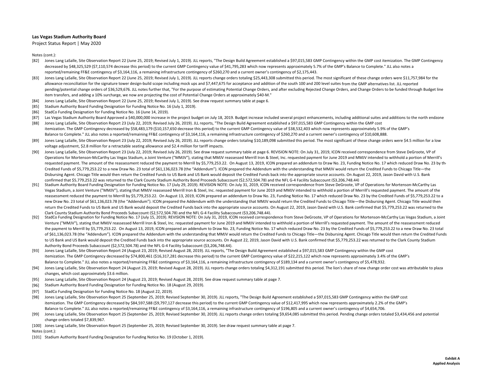Project Status Report | May 2020

Notes (cont.):

- [82] Jones Lang LaSalle, Site Observation Report 22 (June 25, 2019; Revised July 1, 2019). JLL reports, "The Design Build Agreement established a \$97,015,583 GMP Contingency within the GMP cost itemization. The GMP Conting decreased by \$48,325,529 (\$7,110,574 decrease this period) to the current GMP Contingency value of \$41,795,283 which now represents approximately 5.7% of the GMP's Balance to Complete." JLL also notes a reported/remaining FF&E contingency of \$3,164,116, <sup>a</sup> remaining infrastructure contingency of \$260,270 and <sup>a</sup> current owner's contingency of \$2,175,443.
- [83] Jones Lang LaSalle, Site Observation Report 22 (June 25, 2019; Revised July 1, 2019). JLL reports change orders totaling \$25,443,308 submitted this period. The most significant of these change orders were \$11,757,984 for t allowance reconciliation for the signature tower design‐build scope including mock ups and \$7,447,675 for acceptance and addition of the south 100 and 200 level suites from the GMP alternatives list. JLL reported pending/potential change orders of \$36,529,676. JLL notes further that, "For the purpose of estimating Potential Change Orders, and after excluding Rejected Change Orders, and Change Orders to be funded through Budget line item transfers, and adding <sup>a</sup> 10% surcharge, we now are projecting the cost of Potential Change Orders at approximately \$40‐M."
- [84] Jones Lang LaSalle, Site Observation Report 22 (June 25, 2019; Revised July 1, 2019). See draw request summary table at page 6.
- [85] Stadium Authority Board Funding Designation for Funding Notice No. 16 (July 1, 2019).
- [86] StadCo Funding Designation for Funding Notice No. 16 (June 14, 2019).
- [87] Las Vegas Stadium Authority Board Approved a \$40,000,000 increase in the project budget on July 18, 2019. Budget increase included several project enhancements, including additional suites and additions to the north e
- [88] Jones Lang LaSalle, Site Observation Report 23 (July 22, 2019; Revised July 26, 2019). JLL reports, "The Design Build Agreement established <sup>a</sup> \$97,015,583 GMP Contingency within the GMP cost itemization. The GMP Contingency decreased by \$58,483,179 (\$10,157,650 decrease this period) to the current GMP Contingency value of \$38,532,403 which now represents approximately 5.9% of the GMP's Balance to Complete." JLL also notes <sup>a</sup> reported/remaining FF&E contingency of \$3,164,116, <sup>a</sup> remaining infrastructure contingency of \$260,270 and <sup>a</sup> current owner's contingency of \$10,608,888.
- [89] Jones Lang LaSalle, Site Observation Report 23 (July 22, 2019; Revised July 26, 2019). JLL reports change orders totaling \$10,189,098 submitted this period. The most significant of these change orders were \$4.5 millio voltage adjustment, \$2.8 million for <sup>a</sup> retractable seating allowance and \$2.4 million for tariff impacts.
- [90] Jones Lang LaSalle, Site Observation Report 23 (July 22, 2019; Revised July 26, 2019). See draw request summary table at page 6. REVISION NOTE: On July 31, 2019, ICON received correspondence from Steve DeGroote, VP of Operations for Mortenson-McCarthy Las Vegas Stadium, a Joint Venture ("MMJV"), stating that MMJV reassessed Merrill Iron & Steel, Inc. requested payment for June 2019 and MMJV intended to withhold a portion of Merrill's requested payment. The amount of the reassessment reduced the payment to Merrill by \$5,779,253.22. On August 13, 2019, ICON prepared an addendum to Draw No. 23, Funding Notice No. 17 which reduced Draw No. 23 by the Credited Funds of \$5,779,253.22 to <sup>a</sup> new Draw No. 23 total of \$61,136,023.78 (the "Addendum"). ICON prepared the Addendum with the understanding that MMJV would return the Credited Funds to Chicago Title—the Disbursing Agent. Chicago Title would then return the Credited Funds to US Bank and US Bank would deposit the Credited Funds back into the appropriate source accounts. On August 22, 2019, Jason David with U.S. Bank confirmed that \$5,779,253.22 was returned to the Clark County Stadium Authority Bond Proceeds Subaccount (\$2,572,504.78) and the NFL G‐<sup>4</sup> Facility Subaccount (\$3,206,748.44)
- [91] Stadium Authority Board Funding Designation for Funding Notice No. 17 (July 29, 2019). REVISION NOTE: On July 31, 2019, ICON received correspondence from Steve DeGroote, VP of Operations for Mortenson‐McCarthy Las Vegas Stadium, a Joint Venture ("MMJV"), stating that MMJV reassessed Merrill Iron & Steel, Inc. requested payment for June 2019 and MMJV intended to withhold a portion of Merrill's requested payment. The amount of the reassessment reduced the payment to Merrill by \$5,779,253.22. On August 13, 2019, ICON prepared an addendum to Draw No. 23, Funding Notice No. 17 which reduced Draw No. 23 by the Credited Funds of \$5,779,253.22 to a new Draw No. 23 total of \$61,136,023.78 (the "Addendum"). ICON prepared the Addendum with the understanding that MMJV would return the Credited Funds to Chicago Title—the Disbursing Agent. Chicago Title would then return the Credited Funds to US Bank and US Bank would deposit the Credited Funds back into the appropriate source accounts. On August 22, 2019, Jason David with U.S. Bank confirmed that \$5,779,253.22 was returned to the Clark County Stadium Authority Bond Proceeds Subaccount (\$2,572,504.78) and the NFL G‐<sup>4</sup> Facility Subaccount (\$3,206,748.44).
- [92] StadCo Funding Designation for Funding Notice No. 17 (July 15, 2019). REVISION NOTE: On July 31, 2019, ICON received correspondence from Steve DeGroote, VP of Operations for Mortenson‐McCarthy Las Vegas Stadium, <sup>a</sup> Joint Venture ("MMJV"), stating that MMJV reassessed Merrill Iron & Steel, Inc. requested payment for June 2019 and MMJV intended to withhold <sup>a</sup> portion of Merrill's requested payment. The amount of the reassessment reduced the payment to Merrill by \$5,779,253.22. On August 13, 2019, ICON prepared an addendum to Draw No. 23, Funding Notice No. 17 which reduced Draw No. 23 by the Credited Funds of \$5,779,253.22 to a new Draw No. 23 total of \$61,136,023.78 (the "Addendum"). ICON prepared the Addendum with the understanding that MMJV would return the Credited Funds to Chicago Title—the Disbursing Agent. Chicago Title would then return the Credited Funds to US Bank and US Bank would deposit the Credited Funds back into the appropriate source accounts. On August 22, 2019, Jason David with U.S. Bank confirmed that \$5,779,253.22 was returned to the Clark County Stadium Authority Bond Proceeds Subaccount (\$2,572,504.78) and the NFL G‐<sup>4</sup> Facility Subaccount (\$3,206,748.44).
- [93] Jones Lang LaSalle, Site Observation Report 24 (August 23, 2019; Revised August 28, 2019). JLL reports, "The Design Build Agreement established a \$97,015,583 GMP Contingency within the GMP cost itemization. The GMP Contingency decreased by \$74,800,461 (\$16,317,281 decrease this period) to the current GMP Contingency value of \$22,215,122 which now represents approximately 3.4% of the GMP's Balance to Complete." JLL also notes <sup>a</sup> reported/remaining FF&E contingency of \$3,164,116, <sup>a</sup> remaining infrastructure contingency of \$189,134 and <sup>a</sup> current owner's contingency of \$5,478,932.
- [94] Jones Lang LaSalle, Site Observation Report 24 (August 23, 2019; Revised August 28, 2019). JLL reports change orders totaling \$4,312,191 submitted this period. The lion's share of new change order cost was attributabl changes, which cost approximately \$3.6 million.
- [95] Jones Lang LaSalle, Site Observation Report 24 (August 23, 2019; Revised August 28, 2019). See draw request summary table at page 7.
- [96] Stadium Authority Board Funding Designation for Funding Notice No. 18 (August 29, 2019).
- [97] StadCo Funding Designation for Funding Notice No. 18 (August 22, 2019).
- [98] Jones Lang LaSalle, Site Observation Report 25 (September 25, 2019; Revised September 30, 2019). JLL reports, "The Design Build Agreement established <sup>a</sup> \$97,015,583 GMP Contingency within the GMP cost itemization. The GMP Contingency decreased by \$84,597,588 (\$9,797,127 decrease this period) to the current GMP Contingency value of \$12,417,995 which now represents approximately 2.2% of the GMP's Balance to Complete." JLL also notes <sup>a</sup> reported/remaining FF&E contingency of \$3,164,116, <sup>a</sup> remaining infrastructure contingency of \$196,805 and <sup>a</sup> current owner's contingency of \$4,654,706.
- [99] Jones Lang LaSalle, Site Observation Report 25 (September 25, 2019; Revised September 30, 2019). JLL reports change orders totaling \$9,654,085 submitted this period. Pending change orders totaled \$3,434,456 and potent change orders totaled \$7,839,967.
- [100] Jones Lang LaSalle, Site Observation Report 25 (September 25, 2019; Revised September 30, 2019). See draw request summary table at page 7.

Notes (cont.):

[101] Stadium Authority Board Funding Designation for Funding Notice No. 19 (October 1, 2019).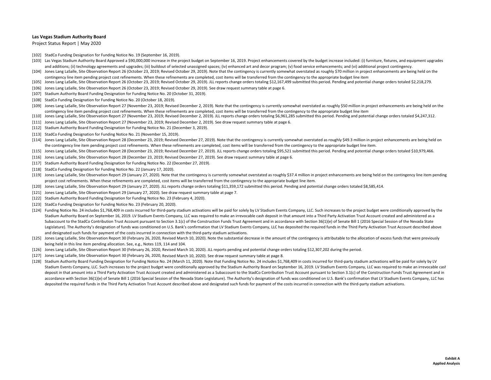Project Status Report | May 2020

- [102] StadCo Funding Designation for Funding Notice No. 19 (September 16, 2019).
- [103] Las Vegas Stadium Authority Board Approved a \$90,000,000 increase in the project budget on September 16, 2019. Project enhancements covered by the budget increase included: (i) furniture, fixtures, and equipment upgr and additions; (ii) technology agreements and upgrades; (iii) buildout of selected unassigned spaces; (iv) enhanced art and decor program; (v) food service enhancements; and (vi) additional project contingency.
- [104] Jones Lang LaSalle, Site Observation Report 26 (October 23, 2019; Revised October 29, 2019). Note that the contingency is currently somewhat overstated as roughly \$70 million in project enhancements are being held on contingency line item pending project cost refinements. When these refinements are completed, cost items will be transferred from the contingency to the appropriate budget line item
- [105] Jones Lang LaSalle, Site Observation Report 26 (October 23, 2019; Revised October 29, 2019). JLL reports change orders totaling \$12,167,499 submitted this period. Pending and potential change orders totaled \$2,218,279.
- [106] Jones Lang LaSalle, Site Observation Report 26 (October 23, 2019; Revised October 29, 2019). See draw request summary table at page 6.
- [107] Stadium Authority Board Funding Designation for Funding Notice No. 20 (October 31, 2019).
- [108] StadCo Funding Designation for Funding Notice No. 20 (October 18, 2019).
- [109] Jones Lang LaSalle, Site Observation Report 27 (November 23, 2019; Revised December 2, 2019). Note that the contingency is currently somewhat overstated as roughly \$50 million in project enhancements are being held o contingency line item pending project cost refinements. When these refinements are completed, cost items will be transferred from the contingency to the appropriate budget line item
- [110] Jones Lang LaSalle, Site Observation Report <sup>27</sup> (November 23, 2019; Revised December 2, 2019). JLL reports change orders totaling \$6,961,285 submitted this period. Pending and potential change orders totaled \$4,247,312.
- [111] Jones Lang LaSalle, Site Observation Report 27 (November 23, 2019; Revised December 2, 2019). See draw request summary table at page 6.
- [112] Stadium Authority Board Funding Designation for Funding Notice No. 21 (December 3, 2019).
- [113] StadCo Funding Designation for Funding Notice No. 21 (November 15, 2019).
- [114] Jones Lang LaSalle, Site Observation Report 28 (December 23, 2019; Revised December 27, 2019). Note that the contingency is currently somewhat overstated as roughly \$49.3 million in project enhancements are being hel the contingency line item pending project cost refinements. When these refinements are completed, cost items will be transferred from the contingency to the appropriate budget line item.
- [115] Jones Lang LaSalle, Site Observation Report 28 (December 23, 2019; Revised December 27, 2019). JLL reports change orders totaling \$95,521 submitted this period. Pending and potential change orders totaled \$10,979,466.
- [116] Jones Lang LaSalle, Site Observation Report 28 (December 23, 2019; Revised December 27, 2019). See draw request summary table at page 6.
- [117] Stadium Authority Board Funding Designation for Funding Notice No. 22 (December 27, 2019).
- [118] StadCo Funding Designation for Funding Notice No. 22 (January 17, 2020).
- [119] Jones Lang LaSalle, Site Observation Report 29 (January 27, 2020). Note that the contingency is currently somewhat overstated as roughly \$37.4 million in project enhancements are being held on the contingency line it project cost refinements. When these refinements are completed, cost items will be transferred from the contingency to the appropriate budget line item.
- [120] Jones Lang LaSalle, Site Observation Report 29 (January 27, 2020). JLL reports change orders totaling \$11,359,172 submitted this period. Pending and potential change orders totaled \$8,585,414.
- [121] Jones Lang LaSalle, Site Observation Report 29 (January 27, 2020). See draw request summary table at page 7.
- [122] Stadium Authority Board Funding Designation for Funding Notice No. 23 (February 4, 2020).
- [123] StadCo Funding Designation for Funding Notice No. 23 (February 20, 2020).
- [124] Funding Notice No. 24 includes \$1,768,409 in costs incurred for third-party stadium activations will be paid for solely by LV Stadium Events Company, LLC. Such increases to the project budget were conditionally appro Stadium Authority Board on September 16, 2019. LV Stadium Events Company, LLC was required to make an irrevocable cash deposit in that amount into <sup>a</sup> Third Party Activation Trust Account created and administered as <sup>a</sup> Subaccount to the StadCo Contribution Trust Account pursuant to Section 3.1(c) of the Construction Funds Trust Agreement and in accordance with Section 36(1)(e) of Senate Bill 1 (2016 Special Session of the Nevada State Legislature). The Authority's designation of funds was conditioned on U.S. Bank's confirmation that LV Stadium Events Company, LLC has deposited the required funds in the Third Party Activation Trust Account described abov and designated such funds for payment of the costs incurred in connection with the third‐party stadium activations.
- [125] Jones Lang LaSalle, Site Observation Report 30 (February 26, 2020, Revised March 10, 2020). Note the substantial decrease in the amount of the contingency is attributable to the allocation of excess funds that were p being held in this line item pending allocation. See, e.g., Notes 119, 114 and 104.
- [126] Jones Lang LaSalle, Site Observation Report 30 (February 26, 2020, Revised March 10, 2020). JLL reports pending and potential change orders totaling \$12,307,202 during the period.
- [127] Jones Lang LaSalle, Site Observation Report 30 (February 26, 2020, Revised March 10, 2020). See draw request summary table at page 8.
- [128] Stadium Authority Board Funding Designation for Funding Notice No. 24 (March 11, 2020). Note that Funding Notice No. 24 includes \$1,768,409 in costs incurred for third-party stadium activations will be paid for solel Stadium Events Company, LLC. Such increases to the project budget were conditionally approved by the Stadium Authority Board on September 16, 2019. LV Stadium Events Company, LLC was required to make an irrevocable cash deposit in that amount into a Third Party Activation Trust Account created and administered as a Subaccount to the StadCo Contribution Trust Account pursuant to Section 3.1(c) of the Construction Funds Trust Agreement and accordance with Section 36(1)(e) of Senate Bill 1 (2016 Special Session of the Nevada State Legislature). The Authority's designation of funds was conditioned on U.S. Bank's confirmation that LV Stadium Events Company, LLC deposited the required funds in the Third Party Activation Trust Account described above and designated such funds for payment of the costs incurred in connection with the third‐party stadium activations.